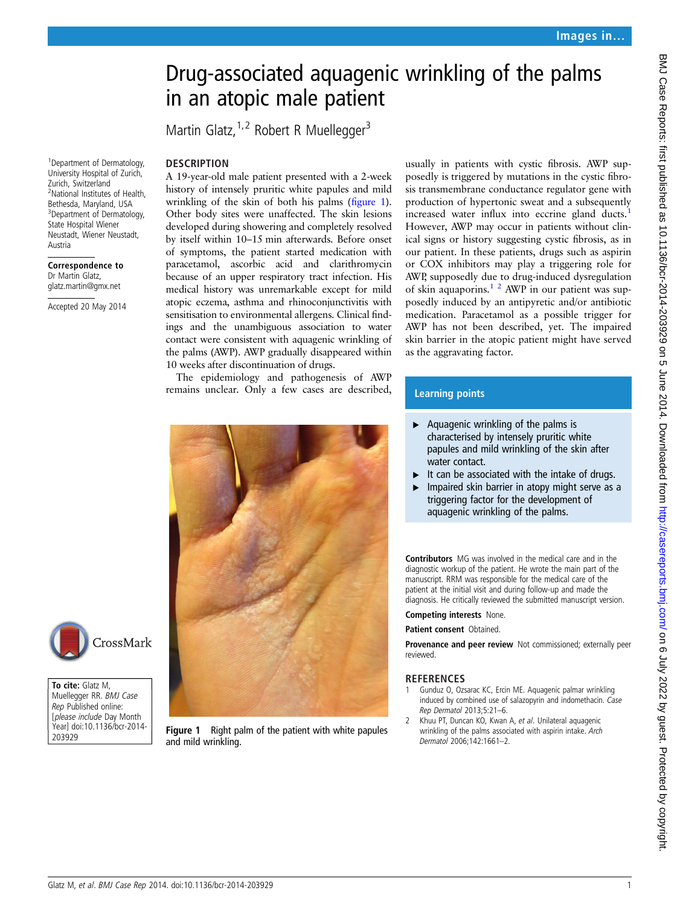# Drug-associated aquagenic wrinkling of the palms in an atopic male patient

Martin Glatz,  $1,2$  Robert R Muellegger<sup>3</sup>

### **DESCRIPTION**

A 19-year-old male patient presented with a 2-week history of intensely pruritic white papules and mild wrinkling of the skin of both his palms (figure 1). Other body sites were unaffected. The skin lesions developed during showering and completely resolved by itself within 10–15 min afterwards. Before onset of symptoms, the patient started medication with paracetamol, ascorbic acid and clarithromycin because of an upper respiratory tract infection. His medical history was unremarkable except for mild atopic eczema, asthma and rhinoconjunctivitis with sensitisation to environmental allergens. Clinical findings and the unambiguous association to water contact were consistent with aquagenic wrinkling of the palms (AWP). AWP gradually disappeared within 10 weeks after discontinuation of drugs.

The epidemiology and pathogenesis of AWP remains unclear. Only a few cases are described,

usually in patients with cystic fibrosis. AWP supposedly is triggered by mutations in the cystic fibrosis transmembrane conductance regulator gene with production of hypertonic sweat and a subsequently increased water influx into eccrine gland ducts.<sup>1</sup> However, AWP may occur in patients without clinical signs or history suggesting cystic fibrosis, as in our patient. In these patients, drugs such as aspirin or COX inhibitors may play a triggering role for AWP, supposedly due to drug-induced dysregulation of skin aquaporins.1 2 AWP in our patient was supposedly induced by an antipyretic and/or antibiotic medication. Paracetamol as a possible trigger for AWP has not been described, yet. The impaired skin barrier in the atopic patient might have served as the aggravating factor.

### Learning points

- ▸ Aquagenic wrinkling of the palms is characterised by intensely pruritic white papules and mild wrinkling of the skin after water contact.
- $\blacktriangleright$  It can be associated with the intake of drugs.
- $\blacktriangleright$  Impaired skin barrier in atopy might serve as a triggering factor for the development of aquagenic wrinkling of the palms.

Contributors MG was involved in the medical care and in the diagnostic workup of the patient. He wrote the main part of the manuscript. RRM was responsible for the medical care of the patient at the initial visit and during follow-up and made the diagnosis. He critically reviewed the submitted manuscript version.

## Competing interests None.

Patient consent Obtained.

Provenance and peer review Not commissioned; externally peer reviewed.

#### **REFERENCES**

- 1 Gunduz O, Ozsarac KC, Ercin ME. Aquagenic palmar wrinkling induced by combined use of salazopyrin and indomethacin. Case Rep Dermatol 2013;5:21–6.
- 2 Khuu PT, Duncan KO, Kwan A, et al. Unilateral aquagenic wrinkling of the palms associated with aspirin intake. Arch Dermatol 2006;142:1661–2.

1 Department of Dermatology, University Hospital of Zurich, Zurich, Switzerland 2 National Institutes of Health, Bethesda, Maryland, USA <sup>3</sup>Department of Dermatology, State Hospital Wiener Neustadt, Wiener Neustadt, Austria

Correspondence to Dr Martin Glatz, glatz.martin@gmx.net

Accepted 20 May 2014



To cite: Glatz M. Muellegger RR. BMJ Case Rep Published online: [please include Day Month Year] doi:10.1136/bcr-2014- 203929

Figure 1 Right palm of the patient with white papules and mild wrinkling.